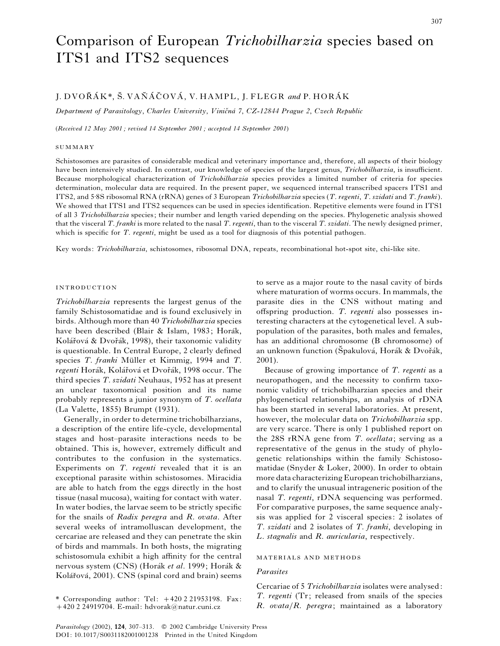# Comparison of European *Trichobilharzia* species based on ITS1 and ITS2 sequences

## J. DVOŘÁK\*, Š. VAŇÁČOVÁ, V. HAMPL, J. FLEGR and P. HORÁK

*Department of Parasitology*, *Charles University*, *Vinic*]*na*U *7*, *CZ*-*12844 Prague 2*, *Czech Republic*

(*Received 12 May 2001 ; revised 14 September 2001 ; accepted 14 September 2001*)

#### **SUMMARY**

Schistosomes are parasites of considerable medical and veterinary importance and, therefore, all aspects of their biology have been intensively studied. In contrast, our knowledge of species of the largest genus, *Trichobilharzia*, is insufficient. Because morphological characterization of *Trichobilharzia* species provides a limited number of criteria for species determination, molecular data are required. In the present paper, we sequenced internal transcribed spacers ITS1 and ITS2, and 5±8S ribosomal RNA (rRNA) genes of 3 European *Trichobilharzia* species (*T*. *regenti*, *T*. *szidati* and *T*. *franki*). We showed that ITS1 and ITS2 sequences can be used in species identification. Repetitive elements were found in ITS1 of all 3 *Trichobilharzia* species; their number and length varied depending on the species. Phylogenetic analysis showed that the visceral *T*. *franki* is more related to the nasal *T*. *regenti*, than to the visceral *T*. *szidati*. The newly designed primer, which is specific for *T*. *regenti*, might be used as a tool for diagnosis of this potential pathogen.

Key words: *Trichobilharzia*, schistosomes, ribosomal DNA, repeats, recombinational hot-spot site, chi-like site.

## **INTRODUCTION**

*Trichobilharzia* represents the largest genus of the family Schistosomatidae and is found exclusively in birds. Although more than 40 *Trichobilharzia* species have been described (Blair & Islam, 1983; Horák, Kolářová & Dvořák, 1998), their taxonomic validity is questionable. In Central Europe, 2 clearly defined species *T. franki* Müller et Kimmig, 1994 and *T. regenti* Horák, Kolářová et Dvořák, 1998 occur. The third species *T*. *szidati* Neuhaus, 1952 has at present an unclear taxonomical position and its name probably represents a junior synonym of *T*. *ocellata* (La Valette, 1855) Brumpt (1931).

Generally, in order to determine trichobilharzians, a description of the entire life-cycle, developmental stages and host–parasite interactions needs to be obtained. This is, however, extremely difficult and contributes to the confusion in the systematics. Experiments on *T*. *regenti* revealed that it is an exceptional parasite within schistosomes. Miracidia are able to hatch from the eggs directly in the host tissue (nasal mucosa), waiting for contact with water. In water bodies, the larvae seem to be strictly specific for the snails of *Radix peregra* and *R*. *ovata*. After several weeks of intramolluscan development, the cercariae are released and they can penetrate the skin of birds and mammals. In both hosts, the migrating schistosomula exhibit a high affinity for the central nervous system (CNS) (Horák et al. 1999; Horák & Kolářová, 2001). CNS (spinal cord and brain) seems

to serve as a major route to the nasal cavity of birds where maturation of worms occurs. In mammals, the parasite dies in the CNS without mating and offspring production. *T*. *regenti* also possesses interesting characters at the cytogenetical level. A subpopulation of the parasites, both males and females, has an additional chromosome (B chromosome) of an unknown function (Špakulová, Horák & Dvořák, 2001).

Because of growing importance of *T*. *regenti* as a neuropathogen, and the necessity to confirm taxonomic validity of trichobilharzian species and their phylogenetical relationships, an analysis of rDNA has been started in several laboratories. At present, however, the molecular data on *Trichobilharzia* spp. are very scarce. There is only 1 published report on the 28S rRNA gene from *T*. *ocellata*; serving as a representative of the genus in the study of phylogenetic relationships within the family Schistosomatidae (Snyder & Loker, 2000). In order to obtain more data characterizing European trichobilharzians, and to clarify the unusual intrageneric position of the nasal *T*. *regenti*, rDNA sequencing was performed. For comparative purposes, the same sequence analysis was applied for 2 visceral species: 2 isolates of *T*. *szidati* and 2 isolates of *T*. *franki*, developing in *L*. *stagnalis* and *R*. *auricularia*, respectively.

### MATERIALS AND METHODS

#### *Parasites*

Cercariae of 5 *Trichobilharzia* isolates were analysed: *T*. *regenti* (Tr; released from snails of the species *R*. *ovata*}*R*. *peregra*; maintained as a laboratory

<sup>\*</sup> Corresponding author: Tel:  $+420221953198$ . Fax:  $+420$  2 24919704. E-mail: hdvorak@natur.cuni.cz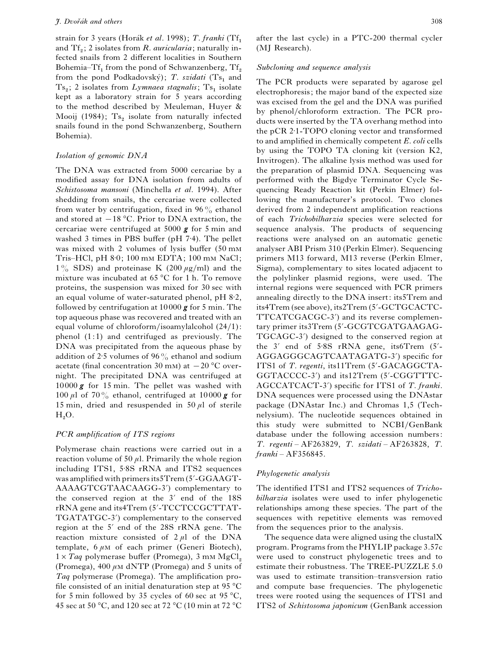strain for 3 years (Horák *et al.* 1998); *T. franki* (Tf<sub>1</sub>) and Tf<sub>2</sub>; 2 isolates from *R. auricularia*; naturally in fected snails from 2 different localities in Southern Bohemia–Tf<sub>1</sub> from the pond of Schwanzenberg,  $Tf_2$  from the pond Podkadovský); *T. szidati* (Ts<sub>1</sub> and from the pond Podkadovský); T. szidati (Ts<sub>1</sub> and Ts<sub>2</sub>; 2 isolates from *Lymnaea stagnalis*; Ts<sub>1</sub> isolate kept as a laboratory strain for 5 years according to the method described by Meuleman, Huyer & Mooij (1984);  $Ts_2$  isolate from naturally infected snails found in the pond Schwanzenberg, Southern Bohemia).

#### *Isolation of genomic DNA*

The DNA was extracted from 5000 cercariae by a modified assay for DNA isolation from adults of *Schistosoma mansoni* (Minchella *et al*. 1994). After shedding from snails, the cercariae were collected from water by centrifugation, fixed in  $96\%$  ethanol and stored at  $-18$  °C. Prior to DNA extraction, the cercariae were centrifuged at 5000 *g* for 5 min and washed 3 times in PBS buffer (pH 7.4). The pellet was mixed with 2 volumes of lysis buffer (50 m Tris–HCl, pH $8:0$ ; 100 mM EDTA; 100 mM NaCl;  $1\%$  SDS) and proteinase K (200  $\mu$ g/ml) and the mixture was incubated at 65 °C for 1 h. To remove proteins, the suspension was mixed for 30 sec with an equal volume of water-saturated phenol,  $pH$   $8:2$ , followed by centrifugation at 10000 *g* for 5 min. The top aqueous phase was recovered and treated with an equal volume of chloroform/isoamylalcohol  $(24/1)$ : phenol (1:1) and centrifuged as previously. The DNA was precipitated from the aqueous phase by addition of 2.5 volumes of 96% ethanol and sodium acetate (final concentration 30 mm) at  $-20$  °C overnight. The precipitated DNA was centrifuged at 10000 *g* for 15 min. The pellet was washed with 100  $\mu$ l of 70% ethanol, centrifuged at 10000 **g** for 15 min, dried and resuspended in 50  $\mu$ l of sterile  $H_2O.$ 

## *PCR amplification of ITS regions*

Polymerase chain reactions were carried out in a reaction volume of 50  $\mu$ l. Primarily the whole region including ITS1, 5.8S rRNA and ITS2 sequences was amplified with primers its5Trem (5'-GGAAGT-AAAAGTCGTAACAAGG-3<sup>'</sup>) complementary to the conserved region at the  $3'$  end of the  $18S$ rRNA gene and its4Trem (5«-TCCTCCGCTTAT-TGATATGC-3') complementary to the conserved region at the 5<sup>'</sup> end of the 28S rRNA gene. The reaction mixture consisted of  $2 \mu l$  of the DNA template,  $6 \mu M$  of each primer (Generi Biotech),  $1 \times Tag$  polymerase buffer (Promega), 3 mm MgCl<sub>2</sub> (Promega),  $400 \mu \text{m}$  dNTP (Promega) and 5 units of *Taq* polymerase (Promega). The amplification profile consisted of an initial denaturation step at  $95^{\circ}$ C for 5 min followed by 35 cycles of 60 sec at 95 °C, 45 sec at 50 °C, and 120 sec at 72 °C (10 min at 72 °C after the last cycle) in a PTC-200 thermal cycler (MJ Research).

## *Subcloning and sequence analysis*

The PCR products were separated by agarose gel electrophoresis; the major band of the expected size was excised from the gel and the DNA was purified by phenol/chloroform extraction. The PCR products were inserted by the TA overhang method into the pCR 2±1-TOPO cloning vector and transformed to and amplified in chemically competent *E*. *coli* cells by using the TOPO TA cloning kit (version K2, Invitrogen). The alkaline lysis method was used for the preparation of plasmid DNA. Sequencing was performed with the Bigdye Terminator Cycle Sequencing Ready Reaction kit (Perkin Elmer) following the manufacturer's protocol. Two clones derived from 2 independent amplification reactions of each *Trichobilharzia* species were selected for sequence analysis. The products of sequencing reactions were analysed on an automatic genetic analyser ABI Prism 310 (Perkin Elmer). Sequencing primers M13 forward, M13 reverse (Perkin Elmer, Sigma), complementary to sites located adjacent to the polylinker plasmid regions, were used. The internal regions were sequenced with PCR primers annealing directly to the DNA insert: its5Trem and its4Trem (see above), its2Trem (5'-GCTGCACTC-TTCATCGACGC-3<sup>'</sup>) and its reverse complementary primer its3Trem (5'-GCGTCGATGAAGAG-TGCAGC-3<sup>'</sup>) designed to the conserved region at the  $3'$  end of  $5.8S$  rRNA gene, its 6Trem  $(5'-$ AGGAGGGCAGTCAATAGATG-3') specific for ITS1 of *T. regenti*, its11Trem (5'-GACAGGCTA-GGTACCCC-3') and its12Trem (5'-CGGTTTC-AGCCATCACT-3«) specific for ITS1 of *T*. *franki*. DNA sequences were processed using the DNAstar package (DNAstar Inc.) and Chromas 1,5 (Technelysium). The nucleotide sequences obtained in this study were submitted to NCBI/GenBank database under the following accession numbers: *T*. *regenti* – AF263829, *T*. *szidati* – AF263828, *T*. *franki* – AF356845.

#### *Phylogenetic analysis*

The identified ITS1 and ITS2 sequences of *Trichobilharzia* isolates were used to infer phylogenetic relationships among these species. The part of the sequences with repetitive elements was removed from the sequences prior to the analysis.

The sequence data were aligned using the clustalX program. Programs from the PHYLIP package 3.57c were used to construct phylogenetic trees and to estimate their robustness. The TREE-PUZZLE 5.0 was used to estimate transition–transversion ratio and compute base frequencies. The phylogenetic trees were rooted using the sequences of ITS1 and ITS2 of *Schistosoma japonicum* (GenBank accession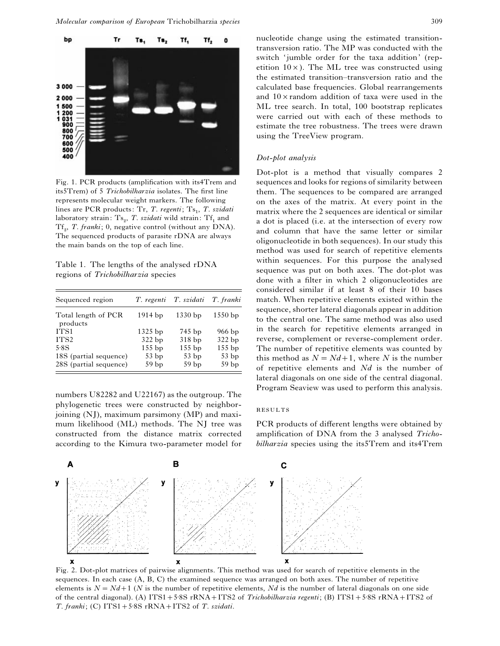

Fig. 1. PCR products (amplification with its4Trem and its5Trem) of 5 *Trichobilharzia* isolates. The first line represents molecular weight markers. The following lines are PCR products: Tr, *T. regenti*; Ts<sub>1</sub>, *T. szidati* laboratory strain: Ts<sub>2</sub>, *T. szidati* wild strain: Tf<sub>1</sub> and Tf<sub>2</sub>, *T. franki*; 0, negative control (without any DNA). The sequenced products of parasite rDNA are always the main bands on the top of each line.

Table 1. The lengths of the analysed rDNA regions of *Trichobilharzia* species

| Sequenced region                | T. regenti       | T. szidati       | T. franki        |
|---------------------------------|------------------|------------------|------------------|
| Total length of PCR<br>products | $1914$ bp        | $1330$ bp        | $1550$ bp        |
| ITS <sub>1</sub>                | $1325$ bp        | 745 bp           | $966$ bp         |
| ITS <sub>2</sub>                | 322 bp           | 318 bp           | 322 bp           |
| 5.8S                            | $155$ bp         | $155$ bp         | $155$ bp         |
| 18S (partial sequence)          | 53bp             | 53bp             | 53bp             |
| 28S (partial sequence)          | 59 <sub>bp</sub> | 59 <sub>bp</sub> | 59 <sub>bp</sub> |

numbers U82282 and U22167) as the outgroup. The phylogenetic trees were constructed by neighborjoining (NJ), maximum parsimony (MP) and maximum likelihood (ML) methods. The NJ tree was constructed from the distance matrix corrected according to the Kimura two-parameter model for nucleotide change using the estimated transitiontransversion ratio. The MP was conducted with the switch 'jumble order for the taxa addition' (repetition  $10\times$ ). The ML tree was constructed using the estimated transition–transversion ratio and the calculated base frequencies. Global rearrangements and  $10 \times$  random addition of taxa were used in the ML tree search. In total, 100 bootstrap replicates were carried out with each of these methods to estimate the tree robustness. The trees were drawn using the TreeView program.

## *Dot*-*plot analysis*

Dot-plot is a method that visually compares 2 sequences and looks for regions of similarity between them. The sequences to be compared are arranged on the axes of the matrix. At every point in the matrix where the 2 sequences are identical or similar a dot is placed (i.e. at the intersection of every row and column that have the same letter or similar oligonucleotide in both sequences). In our study this method was used for search of repetitive elements within sequences. For this purpose the analysed sequence was put on both axes. The dot-plot was done with a filter in which 2 oligonucleotides are considered similar if at least 8 of their 10 bases match. When repetitive elements existed within the sequence, shorter lateral diagonals appear in addition to the central one. The same method was also used in the search for repetitive elements arranged in reverse, complement or reverse-complement order. The number of repetitive elements was counted by this method as  $N = Nd+1$ , where *N* is the number of repetitive elements and *Nd* is the number of lateral diagonals on one side of the central diagonal. Program Seaview was used to perform this analysis.

#### **RESULTS**

PCR products of different lengths were obtained by amplification of DNA from the 3 analysed *Trichobilharzia* species using the its5Trem and its4Trem



Fig. 2. Dot-plot matrices of pairwise alignments. This method was used for search of repetitive elements in the sequences. In each case (A, B, C) the examined sequence was arranged on both axes. The number of repetitive elements is  $N = Nd + 1$  (*N* is the number of repetitive elements, *Nd* is the number of lateral diagonals on one side of the central diagonal). (A) ITS1+5<sup>-8</sup>S rRNA+ITS2 of *Trichobilharzia regenti*; (B) ITS1+5<sup>-8</sup>S rRNA+ITS2 of *T. franki*; (C)  $ITS1+5.8S$  rRNA+ $ITS2$  of *T. szidati*.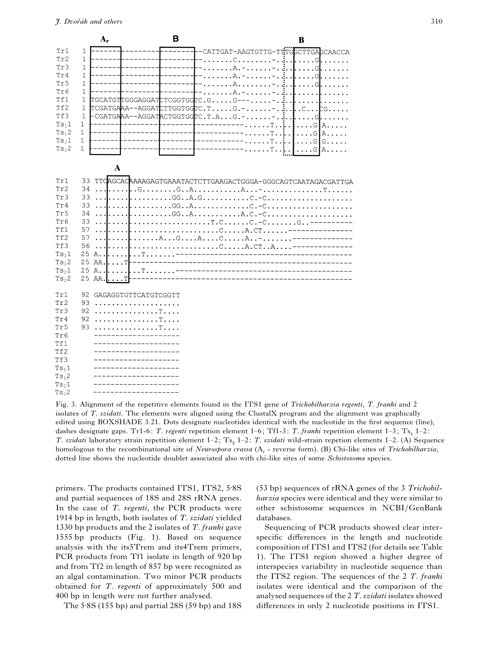|                   | $A_{r}$                      |                                                             | в |                                                                                                                                                                                                                                                                                                                                                                                                                                | B                     |
|-------------------|------------------------------|-------------------------------------------------------------|---|--------------------------------------------------------------------------------------------------------------------------------------------------------------------------------------------------------------------------------------------------------------------------------------------------------------------------------------------------------------------------------------------------------------------------------|-----------------------|
| Tr1               | $\mathbf{1}$                 |                                                             |   | CATTGAT-AAGTGTTG-TTTGGCTTGAGCAACCA                                                                                                                                                                                                                                                                                                                                                                                             |                       |
| Tr2               | $\mathbf{1}$                 |                                                             |   | . C.<br>.                                                                                                                                                                                                                                                                                                                                                                                                                      | $GL.$                 |
| Tr3               | $\mathbf{1}$                 |                                                             |   | $\overline{A}$ .<br>.<br>1.1.1.1                                                                                                                                                                                                                                                                                                                                                                                               | $\cdot$ G             |
| Tr4               | $\mathbf{1}$                 |                                                             |   | $\ldots A$ . -<br>$\overline{1}$ $\overline{1}$ $\overline{1}$ $\overline{1}$ $\overline{1}$ $\overline{1}$ $\overline{1}$ $\overline{1}$ $\overline{1}$ $\overline{1}$ $\overline{1}$ $\overline{1}$ $\overline{1}$ $\overline{1}$ $\overline{1}$ $\overline{1}$ $\overline{1}$ $\overline{1}$ $\overline{1}$ $\overline{1}$ $\overline{1}$ $\overline{1}$ $\overline{1}$ $\overline{1}$ $\overline{$<br>$\ddot{\phantom{a}}$ | G                     |
| Tr5               | $\mathbf{1}$                 |                                                             |   | A.<br>$\ddot{\phantom{a}}$                                                                                                                                                                                                                                                                                                                                                                                                     | $\cdot$ G             |
| Tr6               | $\mathbf{1}$                 |                                                             |   | $\cdot$ . $A -$<br>a a a a a                                                                                                                                                                                                                                                                                                                                                                                                   |                       |
| Tf1               | 1                            | TGCATGTTGGGAGGAT                                            |   | $CTCGGTGGTC.GG---$                                                                                                                                                                                                                                                                                                                                                                                                             |                       |
| Tf2               | 1                            |                                                             |   | $TCGATGAAA - AGGATCTTGGTGGTC.T.\dots .G. -\dots \dots$                                                                                                                                                                                                                                                                                                                                                                         | .C.<br>$\ldots$ CG.   |
| Tf3               | $\mathbf{1}$                 |                                                             |   | $\texttt{-CGATGAAA--AGGATACTGGTC.T.A. G. -}$                                                                                                                                                                                                                                                                                                                                                                                   | G                     |
| $Ts_11$           | 1                            |                                                             |   | Ͳ<br>ı<br>$\ddot{\phantom{a}}$                                                                                                                                                                                                                                                                                                                                                                                                 | $\cdot$ . G<br>Ά.     |
| Ts <sub>1</sub> 2 | 1                            |                                                             |   | T<br>i.<br>$\overline{a}$                                                                                                                                                                                                                                                                                                                                                                                                      | $\ldots$ G<br>A.      |
| Ts <sub>2</sub> 1 | $\mathbf{1}$<br>$\mathbf{1}$ |                                                             |   | T<br>$\ddot{\phantom{0}}$<br>i.                                                                                                                                                                                                                                                                                                                                                                                                | $\ldots$ G G $\ldots$ |
| $Ts_{2}2$         |                              |                                                             |   | ጥ<br>i.<br>$\overline{a}$                                                                                                                                                                                                                                                                                                                                                                                                      | . Gl<br>A.            |
|                   |                              |                                                             |   |                                                                                                                                                                                                                                                                                                                                                                                                                                |                       |
|                   |                              | A                                                           |   |                                                                                                                                                                                                                                                                                                                                                                                                                                |                       |
| Tr1               | 33                           |                                                             |   | TTCAGCACAAAAGAGTGAAATACTCTTGAAGACTGGGA-GGGCAGTCAATAGACGATTGA                                                                                                                                                                                                                                                                                                                                                                   |                       |
| Tr2               | 34<br>$\ddotsc$              | l.                                                          |   |                                                                                                                                                                                                                                                                                                                                                                                                                                |                       |
| Tr3<br>Tr4        | 33                           | $\overline{1}$ $\overline{1}$ $\overline{1}$ $\overline{1}$ |   |                                                                                                                                                                                                                                                                                                                                                                                                                                |                       |
| Tr5               | 33<br>34                     |                                                             |   |                                                                                                                                                                                                                                                                                                                                                                                                                                |                       |
| Tr6               | 33                           |                                                             |   | $GG. A. A. C. - C.$<br>$\ldots \ldots \ldots \ldots \ldots \ldots \ldots \ldots \ldots \ldots \ldots \ldots \ldots$                                                                                                                                                                                                                                                                                                            |                       |
| Tf1               | 57                           |                                                             |   | . C A . CT                                                                                                                                                                                                                                                                                                                                                                                                                     |                       |
| Tf2               | 57                           |                                                             |   | $\ldots$ . A. $\ldots$ G. $\ldots$ A. $\ldots$ C. $\ldots$ . A. $\ldots$                                                                                                                                                                                                                                                                                                                                                       |                       |
| Tf3               | 56                           |                                                             |   | CA.CTA                                                                                                                                                                                                                                                                                                                                                                                                                         |                       |
| $Ts_11$           | 25<br>A                      | . . T.                                                      |   | ----------------------                                                                                                                                                                                                                                                                                                                                                                                                         |                       |
| Ts <sub>1</sub> 2 | 25<br>AA.                    | $\ldots$ T                                                  |   | ---------------------------                                                                                                                                                                                                                                                                                                                                                                                                    |                       |
| $Ts_21$           | 25 A                         | . . T . <i>.</i> .                                          |   |                                                                                                                                                                                                                                                                                                                                                                                                                                |                       |
| $Ts_{2}2$         | 25 AA.                       |                                                             |   |                                                                                                                                                                                                                                                                                                                                                                                                                                |                       |
| Tr1               | 92                           | GAGAGGTGTTCATGTCGGTT                                        |   |                                                                                                                                                                                                                                                                                                                                                                                                                                |                       |
| Tr2               | 93                           | .                                                           |   |                                                                                                                                                                                                                                                                                                                                                                                                                                |                       |
| Tr3               | 92                           |                                                             |   |                                                                                                                                                                                                                                                                                                                                                                                                                                |                       |
| Tr4               | 92                           |                                                             |   |                                                                                                                                                                                                                                                                                                                                                                                                                                |                       |
| Tr5               | 93                           | . T                                                         |   |                                                                                                                                                                                                                                                                                                                                                                                                                                |                       |
| Tr6               |                              |                                                             |   |                                                                                                                                                                                                                                                                                                                                                                                                                                |                       |
| Tf1               |                              |                                                             |   |                                                                                                                                                                                                                                                                                                                                                                                                                                |                       |
| Tf2               |                              |                                                             |   |                                                                                                                                                                                                                                                                                                                                                                                                                                |                       |
| Tf3               |                              |                                                             |   |                                                                                                                                                                                                                                                                                                                                                                                                                                |                       |
| Ts <sub>1</sub> 1 |                              |                                                             |   |                                                                                                                                                                                                                                                                                                                                                                                                                                |                       |
| $Ts_12$           |                              |                                                             |   |                                                                                                                                                                                                                                                                                                                                                                                                                                |                       |
| Ts <sub>2</sub> 1 |                              |                                                             |   |                                                                                                                                                                                                                                                                                                                                                                                                                                |                       |
| Ts <sub>2</sub>   |                              |                                                             |   |                                                                                                                                                                                                                                                                                                                                                                                                                                |                       |

Fig. 3. Alignment of the repetitive elements found in the ITS1 gene of *Trichobilharzia regenti*, *T*. *franki* and 2 isolates of *T*. *szidati*. The elements were aligned using the ClustalX program and the alignment was graphically edited using BOXSHADE 3.21. Dots designate nucleotides identical with the nucleotide in the first sequence (line), dashes designate gaps. Tr1-6: *T. regenti* repetition element 1–6; Tf1-3: *T. franki* repetition element 1–3; Ts<sub>1</sub> 1–2: *T. szidati* laboratory strain repetition element 1–2; Ts<sub>2</sub> 1–2: *T. szidati* wild-strain repetion elements 1–2. (A) Sequence homologous to the recombinational site of *Neurospora crassa* (A<sub>r</sub> - reverse form). (B) Chi-like sites of *Trichobilharzia*, dotted line shows the nucleotide doublet associated also with chi-like sites of some *Schistosoma* species.

primers. The products contained ITS1, ITS2, 5.8S and partial sequences of 18S and 28S rRNA genes. In the case of *T*. *regenti*, the PCR products were 1914 bp in length, both isolates of *T*. *szidati* yielded 1330 bp products and the 2 isolates of *T*. *franki* gave 1555 bp products (Fig. 1). Based on sequence analysis with the its5Trem and its4Trem primers, PCR products from Tf1 isolate in length of 920 bp and from Tf2 in length of 857 bp were recognized as an algal contamination. Two minor PCR products obtained for *T*. *regenti* of approximately 500 and 400 bp in length were not further analysed.

The  $5.8$ S (155 bp) and partial 28S (59 bp) and 18S

(53 bp) sequences of rRNA genes of the 3 *Trichobilharzia* species were identical and they were similar to other schistosome sequences in NCBI/GenBank databases.

Sequencing of PCR products showed clear interspecific differences in the length and nucleotide composition of ITS1 and ITS2 (for details see Table 1). The ITS1 region showed a higher degree of interspecies variability in nucleotide sequence than the ITS2 region. The sequences of the 2 *T*. *franki* isolates were identical and the comparison of the analysed sequences of the 2 *T*. *szidati* isolates showed differences in only 2 nucleotide positions in ITS1.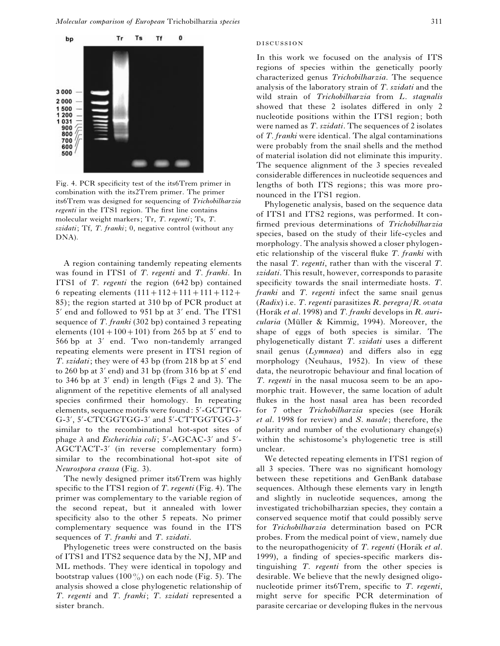

Fig. 4. PCR specificity test of the its6Trem primer in combination with the its2Trem primer. The primer its6Trem was designed for sequencing of *Trichobilharzia regenti* in the ITS1 region. The first line contains molecular weight markers; Tr, *T*. *regenti*; Ts, *T*. *szidati*; Tf, *T*. *franki*; 0, negative control (without any DNA).

A region containing tandemly repeating elements was found in ITS1 of *T*. *regenti* and *T*. *franki*. In ITS1 of *T*. *regenti* the region (642 bp) contained 6 repeating elements  $(111+112+111+111+112+$ 85); the region started at 310 bp of PCR product at  $5'$  end and followed to 951 bp at  $3'$  end. The ITS1 sequence of *T*. *franki* (302 bp) contained 3 repeating elements  $(101 + 100 + 101)$  from 265 bp at 5' end to 566 bp at 3' end. Two non-tandemly arranged repeating elements were present in ITS1 region of *T*. *szidati*; they were of 43 bp (from 218 bp at 5' end to 260 bp at  $3'$  end) and 31 bp (from 316 bp at  $5'$  end to 346 bp at  $3'$  end) in length (Figs 2 and 3). The alignment of the repetitive elements of all analysed species confirmed their homology. In repeating elements, sequence motifs were found: 5'-GCTTG-G-3', 5'-CTCGGTGG-3' and 5'-CTTGGTGG-3' similar to the recombinational hot-spot sites of phage  $\lambda$  and *Escherichia coli*; 5'-AGCAC-3' and 5'-AGCTACT-3' (in reverse complementary form) similar to the recombinational hot-spot site of *Neurospora crassa* (Fig. 3).

The newly designed primer its6Trem was highly specific to the ITS1 region of *T*. *regenti* (Fig. 4). The primer was complementary to the variable region of the second repeat, but it annealed with lower specificity also to the other 5 repeats. No primer complementary sequence was found in the ITS sequences of *T*. *franki* and *T*. *szidati*.

Phylogenetic trees were constructed on the basis of ITS1 and ITS2 sequence data by the NJ, MP and ML methods. They were identical in topology and bootstrap values (100%) on each node (Fig. 5). The analysis showed a close phylogenetic relationship of *T*. *regenti* and *T*. *franki*; *T*. *szidati* represented a sister branch.

#### **DISCUSSION**

In this work we focused on the analysis of ITS regions of species within the genetically poorly characterized genus *Trichobilharzia*. The sequence analysis of the laboratory strain of *T*. *szidati* and the wild strain of *Trichobilharzia* from *L*. *stagnalis* showed that these 2 isolates differed in only 2 nucleotide positions within the ITS1 region; both were named as *T*. *szidati*. The sequences of 2 isolates of *T*. *franki* were identical. The algal contaminations were probably from the snail shells and the method of material isolation did not eliminate this impurity. The sequence alignment of the 3 species revealed considerable differences in nucleotide sequences and lengths of both ITS regions; this was more pronounced in the ITS1 region.

Phylogenetic analysis, based on the sequence data of ITS1 and ITS2 regions, was performed. It confirmed previous determinations of *Trichobilharzia* species, based on the study of their life-cycles and morphology. The analysis showed a closer phylogenetic relationship of the visceral fluke *T*. *franki* with the nasal *T*. *regenti*, rather than with the visceral *T*. *szidati*. This result, however, corresponds to parasite specificity towards the snail intermediate hosts. *T*. *franki* and *T*. *regenti* infect the same snail genus (*Radix*) i.e. *T*. *regenti* parasitizes *R*. *peregra*}*R*. *ovata* (Horák *et al.* 1998) and *T. franki* develops in *R. auricularia* (Müller & Kimmig, 1994). Moreover, the shape of eggs of both species is similar. The phylogenetically distant *T*. *szidati* uses a different snail genus (*Lymnaea*) and differs also in egg morphology (Neuhaus, 1952). In view of these data, the neurotropic behaviour and final location of *T*. *regenti* in the nasal mucosa seem to be an apomorphic trait. However, the same location of adult flukes in the host nasal area has been recorded for 7 other *Trichobilharzia* species (see Horák *et al*. 1998 for review) and *S*. *nasale* ; therefore, the polarity and number of the evolutionary change(s) within the schistosome's phylogenetic tree is still unclear.

We detected repeating elements in ITS1 region of all 3 species. There was no significant homology between these repetitions and GenBank database sequences. Although these elements vary in length and slightly in nucleotide sequences, among the investigated trichobilharzian species, they contain a conserved sequence motif that could possibly serve for *Trichobilharzia* determination based on PCR probes. From the medical point of view, namely due to the neuropathogenicity of *T. regenti* (Horák *et al.*) 1999), a finding of species-specific markers distinguishing *T*. *regenti* from the other species is desirable. We believe that the newly designed oligonucleotide primer its6Trem, specific to *T*. *regenti*, might serve for specific PCR determination of parasite cercariae or developing flukes in the nervous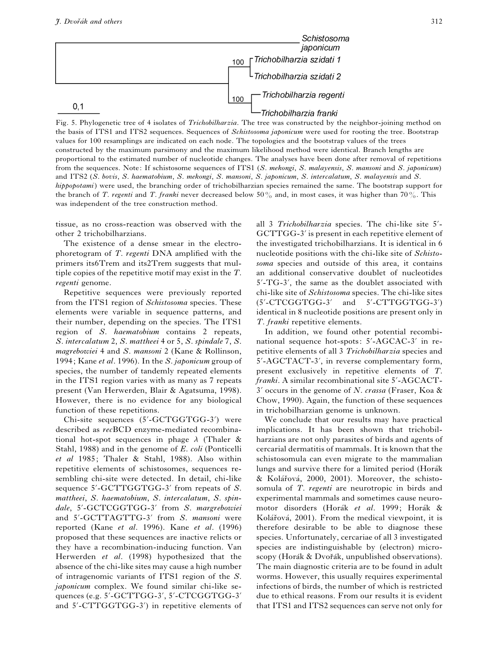

Fig. 5. Phylogenetic tree of 4 isolates of *Trichobilharzia*. The tree was constructed by the neighbor-joining method on the basis of ITS1 and ITS2 sequences. Sequences of *Schistosoma japonicum* were used for rooting the tree. Bootstrap values for 100 resamplings are indicated on each node. The topologies and the bootstrap values of the trees constructed by the maximum parsimony and the maximum likelihood method were identical. Branch lengths are proportional to the estimated number of nucleotide changes. The analyses have been done after removal of repetitions from the sequences. Note: If schistosome sequences of ITS1 (*S*. *mekongi*, *S*. *malayensis*, *S*. *mansoni* and *S*. *japonicum*) and ITS2 (*S*. *bovis*, *S*. *haematobium*, *S*. *mekongi*, *S*. *mansoni*, *S*. *japonicum*, *S*. *intercalatum*, *S*. *malayensis* and *S*. *hippopotami*) were used, the branching order of trichobilharzian species remained the same. The bootstrap support for the branch of *T. regenti* and *T. franki* never decreased below 50% and, in most cases, it was higher than 70%. This was independent of the tree construction method.

tissue, as no cross-reaction was observed with the other 2 trichobilharzians.

The existence of a dense smear in the electrophoretogram of *T*. *regenti* DNA amplified with the primers its6Trem and its2Trem suggests that multiple copies of the repetitive motif may exist in the *T*. *regenti* genome.

Repetitive sequences were previously reported from the ITS1 region of *Schistosoma* species. These elements were variable in sequence patterns, and their number, depending on the species. The ITS1 region of *S*. *haematobium* contains 2 repeats, *S*. *intercalatum* 2, *S*. *mattheei* 4 or 5, *S*. *spindale* 7, *S*. *magrebowiei* 4 and *S*. *mansoni* 2 (Kane & Rollinson, 1994; Kane *et al*. 1996). In the *S*. *japonicum* group of species, the number of tandemly repeated elements in the ITS1 region varies with as many as 7 repeats present (Van Herwerden, Blair & Agatsuma, 1998). However, there is no evidence for any biological function of these repetitions.

Chi-site sequences (5'-GCTGGTGG-3') were described as *rec*BCD enzyme-mediated recombinational hot-spot sequences in phage  $\lambda$  (Thaler & Stahl, 1988) and in the genome of *E*. *coli* (Ponticelli *et al* 1985; Thaler & Stahl, 1988). Also within repetitive elements of schistosomes, sequences resembling chi-site were detected. In detail, chi-like sequence 5'-GCTTGGTGG-3' from repeats of S. *mattheei*, *S*. *haematobium*, *S*. *intercalatum*, *S*. *spindale*, 5«-GCTCGGTGG-3« from *S*. *margrebowiei* and 5«-GCTTAGTTG-3« from *S*. *mansoni* were reported (Kane *et al*. 1996). Kane *et al*. (1996) proposed that these sequences are inactive relicts or they have a recombination-inducing function. Van Herwerden *et al*. (1998) hypothesized that the absence of the chi-like sites may cause a high number of intragenomic variants of ITS1 region of the *S*. *japonicum* complex. We found similar chi-like sequences (e.g. 5'-GCTTGG-3', 5'-CTCGGTGG-3' and 5'-CTTGGTGG-3') in repetitive elements of all 3 *Trichobilharzia* species. The chi-like site 5'-GCTTGG-3' is present in each repetitive element of the investigated trichobilharzians. It is identical in 6 nucleotide positions with the chi-like site of *Schistosoma* species and outside of this area, it contains an additional conservative doublet of nucleotides  $5'$ -TG-3', the same as the doublet associated with chi-like site of *Schistosoma* species. The chi-like sites  $(5'-CTCGGTGG-3'$  and  $5'-CTTGGTGG-3')$ identical in 8 nucleotide positions are present only in *T*. *franki* repetitive elements.

In addition, we found other potential recombinational sequence hot-spots: 5'-AGCAC-3' in repetitive elements of all 3 *Trichobilharzia* species and 5'-AGCTACT-3', in reverse complementary form, present exclusively in repetitive elements of *T*. franki. A similar recombinational site 5'-AGCACT-3« occurs in the genome of *N*. *crassa* (Fraser, Koa & Chow, 1990). Again, the function of these sequences in trichobilharzian genome is unknown.

We conclude that our results may have practical implications. It has been shown that trichobilharzians are not only parasites of birds and agents of cercarial dermatitis of mammals. It is known that the schistosomula can even migrate to the mammalian lungs and survive there for a limited period (Horák & Kolářová, 2000, 2001). Moreover, the schistosomula of *T*. *regenti* are neurotropic in birds and experimental mammals and sometimes cause neuromotor disorders (Horák et al. 1999; Horák & Kolářová, 2001). From the medical viewpoint, it is therefore desirable to be able to diagnose these species. Unfortunately, cercariae of all 3 investigated species are indistinguishable by (electron) microscopy (Horák & Dvořák, unpublished observations). The main diagnostic criteria are to be found in adult worms. However, this usually requires experimental infections of birds, the number of which is restricted due to ethical reasons. From our results it is evident that ITS1 and ITS2 sequences can serve not only for